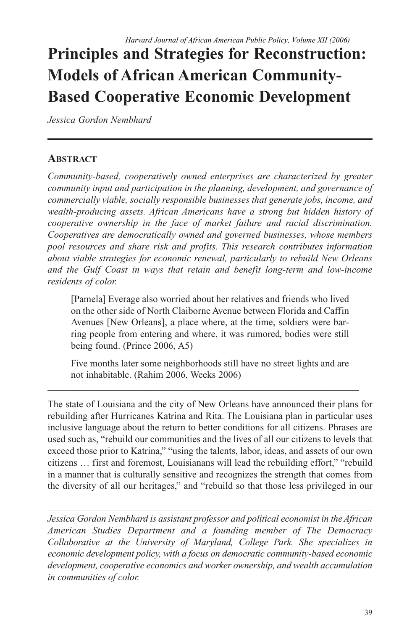# **Principles and Strategies for Reconstruction: Models of African American Community-Based Cooperative Economic Development**

*Jessica Gordon Nembhard*

# **ABSTRACT**

*Community-based, cooperatively owned enterprises are characterized by greater community input and participation in the planning, development, and governance of commercially viable, socially responsible businesses that generate jobs, income, and wealth-producing assets. African Americans have a strong but hidden history of cooperative ownership in the face of market failure and racial discrimination. Cooperatives are democratically owned and governed businesses, whose members pool resources and share risk and profits. This research contributes information about viable strategies for economic renewal, particularly to rebuild New Orleans and the Gulf Coast in ways that retain and benefit long-term and low-income residents of color.*

[Pamela] Everage also worried about her relatives and friends who lived on the other side of North Claiborne Avenue between Florida and Caffin Avenues [New Orleans], a place where, at the time, soldiers were barring people from entering and where, it was rumored, bodies were still being found. (Prince 2006, A5)

Five months later some neighborhoods still have no street lights and are not inhabitable. (Rahim 2006, Weeks 2006)

\_\_\_\_\_\_\_\_\_\_\_\_\_\_\_\_\_\_\_\_\_\_\_\_\_\_\_\_\_\_\_\_\_\_\_\_\_\_\_\_\_\_\_\_\_\_\_\_\_\_\_\_\_\_\_\_\_\_\_\_\_\_\_\_

The state of Louisiana and the city of New Orleans have announced their plans for rebuilding after Hurricanes Katrina and Rita. The Louisiana plan in particular uses inclusive language about the return to better conditions for all citizens. Phrases are used such as, "rebuild our communities and the lives of all our citizens to levels that exceed those prior to Katrina," "using the talents, labor, ideas, and assets of our own citizens … first and foremost, Louisianans will lead the rebuilding effort," "rebuild in a manner that is culturally sensitive and recognizes the strength that comes from the diversity of all our heritages," and "rebuild so that those less privileged in our

*Jessica Gordon Nembhard is assistant professor and political economist in the African American Studies Department and a founding member of The Democracy Collaborative at the University of Maryland, College Park. She specializes in economic development policy, with a focus on democratic community-based economic development, cooperative economics and worker ownership, and wealth accumulation in communities of color.*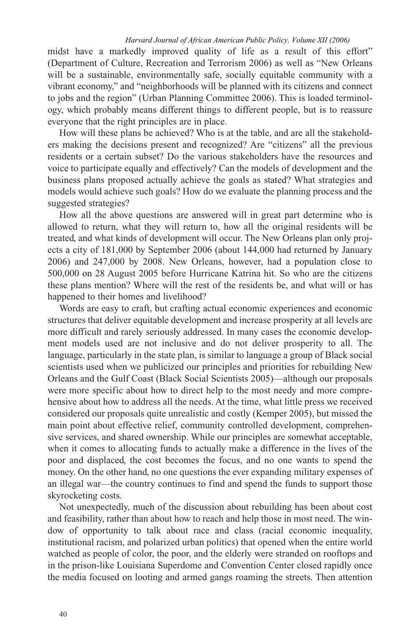midst have a markedly improved quality of life as a result of this effort" (Department of Culture, Recreation and Terrorism 2006) as well as "New Orleans will be a sustainable, environmentally safe, socially equitable community with a vibrant economy," and "neighborhoods will be planned with its citizens and connect to jobs and the region" (Urban Planning Committee 2006). This is loaded terminology, which probably means different things to different people, but is to reassure everyone that the right principles are in place.

How will these plans be achieved? Who is at the table, and are all the stakeholders making the decisions present and recognized? Are "citizens" all the previous residents or a certain subset? Do the various stakeholders have the resources and voice to participate equally and effectively? Can the models of development and the business plans proposed actually achieve the goals as stated? What strategies and models would achieve such goals? How do we evaluate the planning process and the suggested strategies?

How all the above questions are answered will in great part determine who is allowed to return, what they will return to, how all the original residents will be treated, and what kinds of development will occur. The New Orleans plan only projects a city of 181,000 by September 2006 (about 144,000 had returned by January 2006) and 247,000 by 2008. New Orleans, however, had a population close to 500,000 on 28 August 2005 before Hurricane Katrina hit. So who are the citizens these plans mention? Where will the rest of the residents be, and what will or has happened to their homes and livelihood?

Words are easy to craft, but crafting actual economic experiences and economic structures that deliver equitable development and increase prosperity at all levels are more difficult and rarely seriously addressed. In many cases the economic development models used are not inclusive and do not deliver prosperity to all. The language, particularly in the state plan, is similar to language a group of Black social scientists used when we publicized our principles and priorities for rebuilding New Orleans and the Gulf Coast (Black Social Scientists 2005)—although our proposals were more specific about how to direct help to the most needy and more comprehensive about how to address all the needs. At the time, what little press we received considered our proposals quite unrealistic and costly (Kemper 2005), but missed the main point about effective relief, community controlled development, comprehensive services, and shared ownership. While our principles are somewhat acceptable, when it comes to allocating funds to actually make a difference in the lives of the poor and displaced, the cost becomes the focus, and no one wants to spend the money. On the other hand, no one questions the ever expanding military expenses of an illegal war—the country continues to find and spend the funds to support those skyrocketing costs.

Not unexpectedly, much of the discussion about rebuilding has been about cost and feasibility, rather than about how to reach and help those in most need. The window of opportunity to talk about race and class (racial economic inequality, institutional racism, and polarized urban politics) that opened when the entire world watched as people of color, the poor, and the elderly were stranded on rooftops and in the prison-like Louisiana Superdome and Convention Center closed rapidly once the media focused on looting and armed gangs roaming the streets. Then attention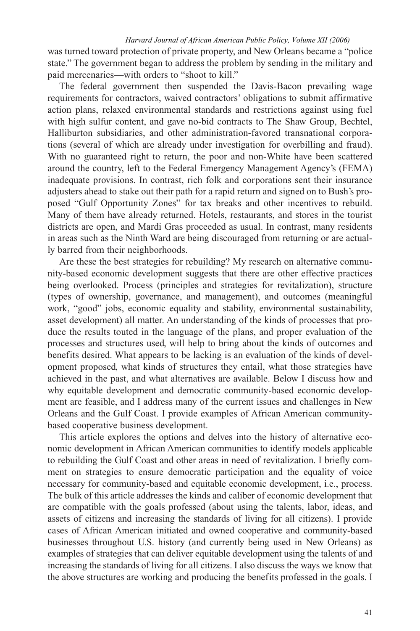was turned toward protection of private property, and New Orleans became a "police state." The government began to address the problem by sending in the military and paid mercenaries—with orders to "shoot to kill."

The federal government then suspended the Davis-Bacon prevailing wage requirements for contractors, waived contractors' obligations to submit affirmative action plans, relaxed environmental standards and restrictions against using fuel with high sulfur content, and gave no-bid contracts to The Shaw Group, Bechtel, Halliburton subsidiaries, and other administration-favored transnational corporations (several of which are already under investigation for overbilling and fraud). With no guaranteed right to return, the poor and non-White have been scattered around the country, left to the Federal Emergency Management Agency's (FEMA) inadequate provisions. In contrast, rich folk and corporations sent their insurance adjusters ahead to stake out their path for a rapid return and signed on to Bush's proposed "Gulf Opportunity Zones" for tax breaks and other incentives to rebuild. Many of them have already returned. Hotels, restaurants, and stores in the tourist districts are open, and Mardi Gras proceeded as usual. In contrast, many residents in areas such as the Ninth Ward are being discouraged from returning or are actually barred from their neighborhoods.

Are these the best strategies for rebuilding? My research on alternative community-based economic development suggests that there are other effective practices being overlooked. Process (principles and strategies for revitalization), structure (types of ownership, governance, and management), and outcomes (meaningful work, "good" jobs, economic equality and stability, environmental sustainability, asset development) all matter. An understanding of the kinds of processes that produce the results touted in the language of the plans, and proper evaluation of the processes and structures used, will help to bring about the kinds of outcomes and benefits desired. What appears to be lacking is an evaluation of the kinds of development proposed, what kinds of structures they entail, what those strategies have achieved in the past, and what alternatives are available. Below I discuss how and why equitable development and democratic community-based economic development are feasible, and I address many of the current issues and challenges in New Orleans and the Gulf Coast. I provide examples of African American communitybased cooperative business development.

This article explores the options and delves into the history of alternative economic development in African American communities to identify models applicable to rebuilding the Gulf Coast and other areas in need of revitalization. I briefly comment on strategies to ensure democratic participation and the equality of voice necessary for community-based and equitable economic development, i.e., process. The bulk of this article addresses the kinds and caliber of economic development that are compatible with the goals professed (about using the talents, labor, ideas, and assets of citizens and increasing the standards of living for all citizens). I provide cases of African American initiated and owned cooperative and community-based businesses throughout U.S. history (and currently being used in New Orleans) as examples of strategies that can deliver equitable development using the talents of and increasing the standards of living for all citizens. I also discuss the ways we know that the above structures are working and producing the benefits professed in the goals. I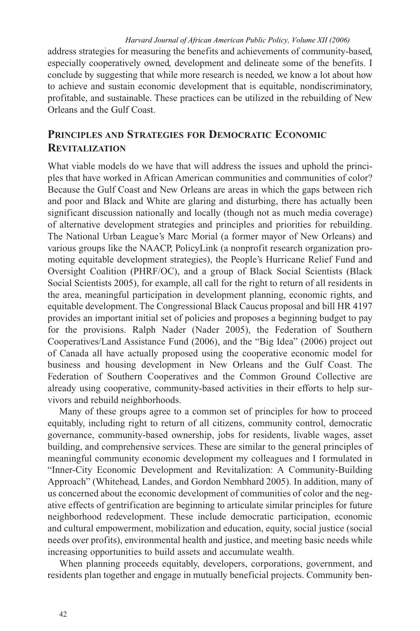address strategies for measuring the benefits and achievements of community-based, especially cooperatively owned, development and delineate some of the benefits. I conclude by suggesting that while more research is needed, we know a lot about how to achieve and sustain economic development that is equitable, nondiscriminatory, profitable, and sustainable. These practices can be utilized in the rebuilding of New Orleans and the Gulf Coast.

# **PRINCIPLES AND STRATEGIES FOR DEMOCRATIC ECONOMIC REVITALIZATION**

What viable models do we have that will address the issues and uphold the principles that have worked in African American communities and communities of color? Because the Gulf Coast and New Orleans are areas in which the gaps between rich and poor and Black and White are glaring and disturbing, there has actually been significant discussion nationally and locally (though not as much media coverage) of alternative development strategies and principles and priorities for rebuilding. The National Urban League's Marc Morial (a former mayor of New Orleans) and various groups like the NAACP, PolicyLink (a nonprofit research organization promoting equitable development strategies), the People's Hurricane Relief Fund and Oversight Coalition (PHRF/OC), and a group of Black Social Scientists (Black Social Scientists 2005), for example, all call for the right to return of all residents in the area, meaningful participation in development planning, economic rights, and equitable development. The Congressional Black Caucus proposal and bill HR 4197 provides an important initial set of policies and proposes a beginning budget to pay for the provisions. Ralph Nader (Nader 2005), the Federation of Southern Cooperatives/Land Assistance Fund (2006), and the "Big Idea" (2006) project out of Canada all have actually proposed using the cooperative economic model for business and housing development in New Orleans and the Gulf Coast. The Federation of Southern Cooperatives and the Common Ground Collective are already using cooperative, community-based activities in their efforts to help survivors and rebuild neighborhoods.

Many of these groups agree to a common set of principles for how to proceed equitably, including right to return of all citizens, community control, democratic governance, community-based ownership, jobs for residents, livable wages, asset building, and comprehensive services. These are similar to the general principles of meaningful community economic development my colleagues and I formulated in "Inner-City Economic Development and Revitalization: A Community-Building Approach" (Whitehead, Landes, and Gordon Nembhard 2005). In addition, many of us concerned about the economic development of communities of color and the negative effects of gentrification are beginning to articulate similar principles for future neighborhood redevelopment. These include democratic participation, economic and cultural empowerment, mobilization and education, equity, social justice (social needs over profits), environmental health and justice, and meeting basic needs while increasing opportunities to build assets and accumulate wealth.

When planning proceeds equitably, developers, corporations, government, and residents plan together and engage in mutually beneficial projects. Community ben-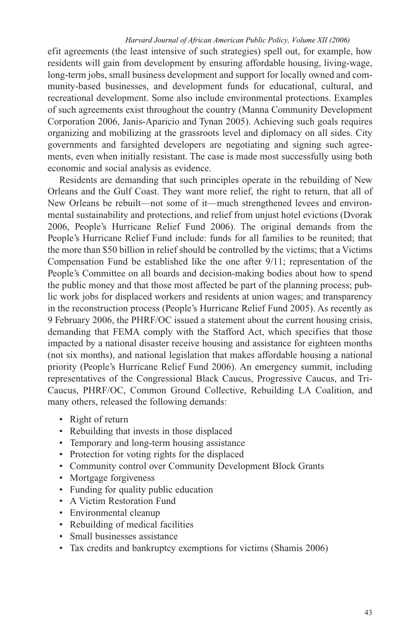efit agreements (the least intensive of such strategies) spell out, for example, how residents will gain from development by ensuring affordable housing, living-wage, long-term jobs, small business development and support for locally owned and community-based businesses, and development funds for educational, cultural, and recreational development. Some also include environmental protections. Examples of such agreements exist throughout the country (Manna Community Development Corporation 2006, Janis-Aparicio and Tynan 2005). Achieving such goals requires organizing and mobilizing at the grassroots level and diplomacy on all sides. City governments and farsighted developers are negotiating and signing such agreements, even when initially resistant. The case is made most successfully using both economic and social analysis as evidence.

Residents are demanding that such principles operate in the rebuilding of New Orleans and the Gulf Coast. They want more relief, the right to return, that all of New Orleans be rebuilt—not some of it—much strengthened levees and environmental sustainability and protections, and relief from unjust hotel evictions (Dvorak 2006, People's Hurricane Relief Fund 2006). The original demands from the People's Hurricane Relief Fund include: funds for all families to be reunited; that the more than \$50 billion in relief should be controlled by the victims; that a Victims Compensation Fund be established like the one after 9/11; representation of the People's Committee on all boards and decision-making bodies about how to spend the public money and that those most affected be part of the planning process; public work jobs for displaced workers and residents at union wages; and transparency in the reconstruction process (People's Hurricane Relief Fund 2005). As recently as 9 February 2006, the PHRF/OC issued a statement about the current housing crisis, demanding that FEMA comply with the Stafford Act, which specifies that those impacted by a national disaster receive housing and assistance for eighteen months (not six months), and national legislation that makes affordable housing a national priority (People's Hurricane Relief Fund 2006). An emergency summit, including representatives of the Congressional Black Caucus, Progressive Caucus, and Tri-Caucus, PHRF/OC, Common Ground Collective, Rebuilding LA Coalition, and many others, released the following demands:

- Right of return
- Rebuilding that invests in those displaced
- Temporary and long-term housing assistance
- Protection for voting rights for the displaced
- Community control over Community Development Block Grants
- Mortgage forgiveness
- Funding for quality public education
- A Victim Restoration Fund
- Environmental cleanup
- Rebuilding of medical facilities
- Small businesses assistance
- Tax credits and bankruptcy exemptions for victims (Shamis 2006)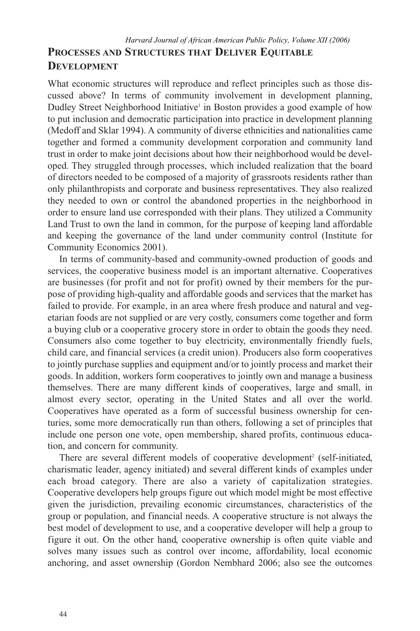# **PROCESSES AND STRUCTURES THAT DELIVER EQUITABLE DEVELOPMENT** *Harvard Journal of African American Public Policy, Volume XII (2006)*

What economic structures will reproduce and reflect principles such as those discussed above? In terms of community involvement in development planning, Dudley Street Neighborhood Initiative<sup>1</sup> in Boston provides a good example of how to put inclusion and democratic participation into practice in development planning (Medoff and Sklar 1994). A community of diverse ethnicities and nationalities came together and formed a community development corporation and community land trust in order to make joint decisions about how their neighborhood would be developed. They struggled through processes, which included realization that the board of directors needed to be composed of a majority of grassroots residents rather than only philanthropists and corporate and business representatives. They also realized they needed to own or control the abandoned properties in the neighborhood in order to ensure land use corresponded with their plans. They utilized a Community Land Trust to own the land in common, for the purpose of keeping land affordable and keeping the governance of the land under community control (Institute for Community Economics 2001).

In terms of community-based and community-owned production of goods and services, the cooperative business model is an important alternative. Cooperatives are businesses (for profit and not for profit) owned by their members for the purpose of providing high-quality and affordable goods and services that the market has failed to provide. For example, in an area where fresh produce and natural and vegetarian foods are not supplied or are very costly, consumers come together and form a buying club or a cooperative grocery store in order to obtain the goods they need. Consumers also come together to buy electricity, environmentally friendly fuels, child care, and financial services (a credit union). Producers also form cooperatives to jointly purchase supplies and equipment and/or to jointly process and market their goods. In addition, workers form cooperatives to jointly own and manage a business themselves. There are many different kinds of cooperatives, large and small, in almost every sector, operating in the United States and all over the world. Cooperatives have operated as a form of successful business ownership for centuries, some more democratically run than others, following a set of principles that include one person one vote, open membership, shared profits, continuous education, and concern for community.

There are several different models of cooperative development<sup>2</sup> (self-initiated, charismatic leader, agency initiated) and several different kinds of examples under each broad category. There are also a variety of capitalization strategies. Cooperative developers help groups figure out which model might be most effective given the jurisdiction, prevailing economic circumstances, characteristics of the group or population, and financial needs. A cooperative structure is not always the best model of development to use, and a cooperative developer will help a group to figure it out. On the other hand, cooperative ownership is often quite viable and solves many issues such as control over income, affordability, local economic anchoring, and asset ownership (Gordon Nembhard 2006; also see the outcomes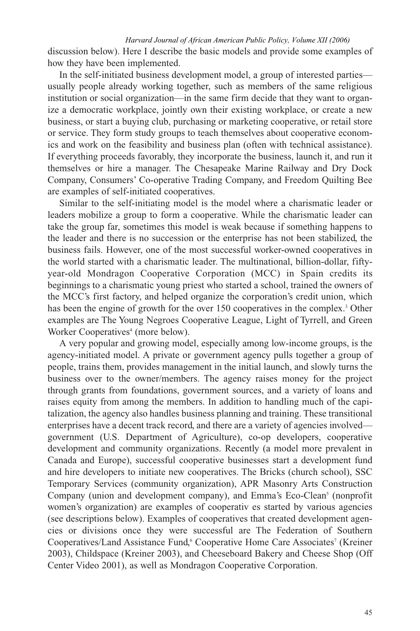discussion below). Here I describe the basic models and provide some examples of how they have been implemented.

In the self-initiated business development model, a group of interested parties usually people already working together, such as members of the same religious institution or social organization—in the same firm decide that they want to organize a democratic workplace, jointly own their existing workplace, or create a new business, or start a buying club, purchasing or marketing cooperative, or retail store or service. They form study groups to teach themselves about cooperative economics and work on the feasibility and business plan (often with technical assistance). If everything proceeds favorably, they incorporate the business, launch it, and run it themselves or hire a manager. The Chesapeake Marine Railway and Dry Dock Company, Consumers' Co-operative Trading Company, and Freedom Quilting Bee are examples of self-initiated cooperatives.

Similar to the self-initiating model is the model where a charismatic leader or leaders mobilize a group to form a cooperative. While the charismatic leader can take the group far, sometimes this model is weak because if something happens to the leader and there is no succession or the enterprise has not been stabilized, the business fails. However, one of the most successful worker-owned cooperatives in the world started with a charismatic leader. The multinational, billion-dollar, fiftyyear-old Mondragon Cooperative Corporation (MCC) in Spain credits its beginnings to a charismatic young priest who started a school, trained the owners of the MCC's first factory, and helped organize the corporation's credit union, which has been the engine of growth for the over 150 cooperatives in the complex.<sup>3</sup> Other examples are The Young Negroes Cooperative League, Light of Tyrrell, and Green Worker Cooperatives<sup>4</sup> (more below).

A very popular and growing model, especially among low-income groups, is the agency-initiated model. A private or government agency pulls together a group of people, trains them, provides management in the initial launch, and slowly turns the business over to the owner/members. The agency raises money for the project through grants from foundations, government sources, and a variety of loans and raises equity from among the members. In addition to handling much of the capitalization, the agency also handles business planning and training. These transitional enterprises have a decent track record, and there are a variety of agencies involved government (U.S. Department of Agriculture), co-op developers, cooperative development and community organizations. Recently (a model more prevalent in Canada and Europe), successful cooperative businesses start a development fund and hire developers to initiate new cooperatives. The Bricks (church school), SSC Temporary Services (community organization), APR Masonry Arts Construction Company (union and development company), and Emma's Eco-Clean<sup>5</sup> (nonprofit women's organization) are examples of cooperativ es started by various agencies (see descriptions below). Examples of cooperatives that created development agencies or divisions once they were successful are The Federation of Southern Cooperatives/Land Assistance Fund,<sup>6</sup> Cooperative Home Care Associates<sup>7</sup> (Kreiner 2003), Childspace (Kreiner 2003), and Cheeseboard Bakery and Cheese Shop (Off Center Video 2001), as well as Mondragon Cooperative Corporation.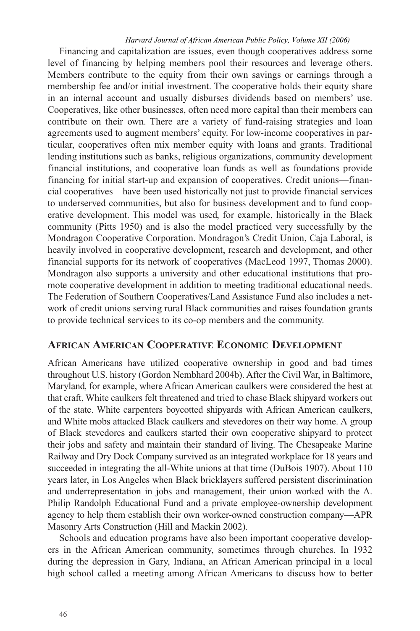Financing and capitalization are issues, even though cooperatives address some level of financing by helping members pool their resources and leverage others. Members contribute to the equity from their own savings or earnings through a membership fee and/or initial investment. The cooperative holds their equity share in an internal account and usually disburses dividends based on members' use. Cooperatives, like other businesses, often need more capital than their members can contribute on their own. There are a variety of fund-raising strategies and loan agreements used to augment members' equity. For low-income cooperatives in particular, cooperatives often mix member equity with loans and grants. Traditional lending institutions such as banks, religious organizations, community development financial institutions, and cooperative loan funds as well as foundations provide financing for initial start-up and expansion of cooperatives. Credit unions—financial cooperatives—have been used historically not just to provide financial services to underserved communities, but also for business development and to fund cooperative development. This model was used, for example, historically in the Black community (Pitts 1950) and is also the model practiced very successfully by the Mondragon Cooperative Corporation. Mondragon's Credit Union, Caja Laboral, is heavily involved in cooperative development, research and development, and other financial supports for its network of cooperatives (MacLeod 1997, Thomas 2000). Mondragon also supports a university and other educational institutions that promote cooperative development in addition to meeting traditional educational needs. The Federation of Southern Cooperatives/Land Assistance Fund also includes a network of credit unions serving rural Black communities and raises foundation grants to provide technical services to its co-op members and the community.

# **AFRICAN AMERICAN COOPERATIVE ECONOMIC DEVELOPMENT**

African Americans have utilized cooperative ownership in good and bad times throughout U.S. history (Gordon Nembhard 2004b). After the Civil War, in Baltimore, Maryland, for example, where African American caulkers were considered the best at that craft, White caulkers felt threatened and tried to chase Black shipyard workers out of the state. White carpenters boycotted shipyards with African American caulkers, and White mobs attacked Black caulkers and stevedores on their way home. A group of Black stevedores and caulkers started their own cooperative shipyard to protect their jobs and safety and maintain their standard of living. The Chesapeake Marine Railway and Dry Dock Company survived as an integrated workplace for 18 years and succeeded in integrating the all-White unions at that time (DuBois 1907). About 110 years later, in Los Angeles when Black bricklayers suffered persistent discrimination and underrepresentation in jobs and management, their union worked with the A. Philip Randolph Educational Fund and a private employee-ownership development agency to help them establish their own worker-owned construction company—APR Masonry Arts Construction (Hill and Mackin 2002).

Schools and education programs have also been important cooperative developers in the African American community, sometimes through churches. In 1932 during the depression in Gary, Indiana, an African American principal in a local high school called a meeting among African Americans to discuss how to better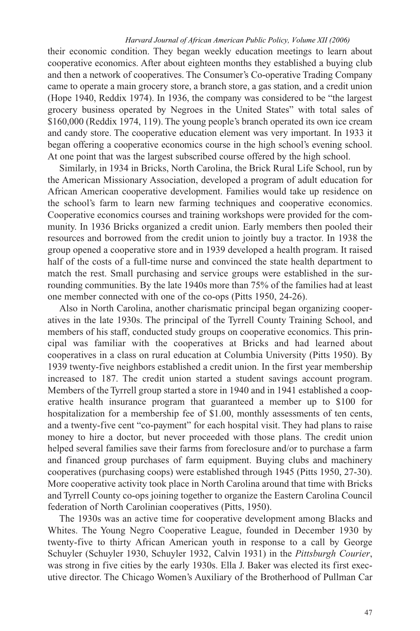their economic condition. They began weekly education meetings to learn about cooperative economics. After about eighteen months they established a buying club and then a network of cooperatives. The Consumer's Co-operative Trading Company came to operate a main grocery store, a branch store, a gas station, and a credit union (Hope 1940, Reddix 1974). In 1936, the company was considered to be "the largest grocery business operated by Negroes in the United States" with total sales of \$160,000 (Reddix 1974, 119). The young people's branch operated its own ice cream and candy store. The cooperative education element was very important. In 1933 it began offering a cooperative economics course in the high school's evening school. At one point that was the largest subscribed course offered by the high school.

Similarly, in 1934 in Bricks, North Carolina, the Brick Rural Life School, run by the American Missionary Association, developed a program of adult education for African American cooperative development. Families would take up residence on the school's farm to learn new farming techniques and cooperative economics. Cooperative economics courses and training workshops were provided for the community. In 1936 Bricks organized a credit union. Early members then pooled their resources and borrowed from the credit union to jointly buy a tractor. In 1938 the group opened a cooperative store and in 1939 developed a health program. It raised half of the costs of a full-time nurse and convinced the state health department to match the rest. Small purchasing and service groups were established in the surrounding communities. By the late 1940s more than 75% of the families had at least one member connected with one of the co-ops (Pitts 1950, 24-26).

Also in North Carolina, another charismatic principal began organizing cooperatives in the late 1930s. The principal of the Tyrrell County Training School, and members of his staff, conducted study groups on cooperative economics. This principal was familiar with the cooperatives at Bricks and had learned about cooperatives in a class on rural education at Columbia University (Pitts 1950). By 1939 twenty-five neighbors established a credit union. In the first year membership increased to 187. The credit union started a student savings account program. Members of the Tyrrell group started a store in 1940 and in 1941 established a cooperative health insurance program that guaranteed a member up to \$100 for hospitalization for a membership fee of \$1.00, monthly assessments of ten cents, and a twenty-five cent "co-payment" for each hospital visit. They had plans to raise money to hire a doctor, but never proceeded with those plans. The credit union helped several families save their farms from foreclosure and/or to purchase a farm and financed group purchases of farm equipment. Buying clubs and machinery cooperatives (purchasing coops) were established through 1945 (Pitts 1950, 27-30). More cooperative activity took place in North Carolina around that time with Bricks and Tyrrell County co-ops joining together to organize the Eastern Carolina Council federation of North Carolinian cooperatives (Pitts, 1950).

The 1930s was an active time for cooperative development among Blacks and Whites. The Young Negro Cooperative League, founded in December 1930 by twenty-five to thirty African American youth in response to a call by George Schuyler (Schuyler 1930, Schuyler 1932, Calvin 1931) in the *Pittsburgh Courier*, was strong in five cities by the early 1930s. Ella J. Baker was elected its first executive director. The Chicago Women's Auxiliary of the Brotherhood of Pullman Car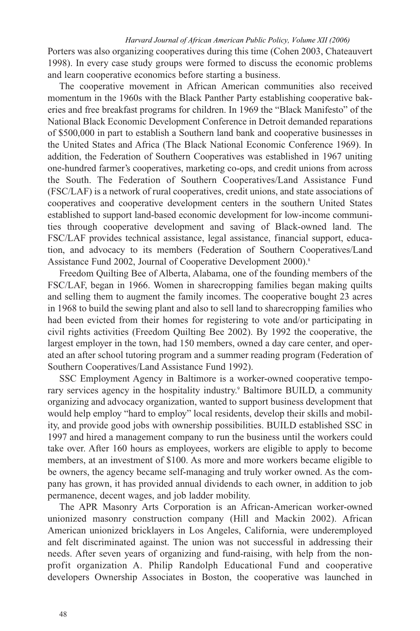Porters was also organizing cooperatives during this time (Cohen 2003, Chateauvert 1998). In every case study groups were formed to discuss the economic problems and learn cooperative economics before starting a business.

The cooperative movement in African American communities also received momentum in the 1960s with the Black Panther Party establishing cooperative bakeries and free breakfast programs for children. In 1969 the "Black Manifesto" of the National Black Economic Development Conference in Detroit demanded reparations of \$500,000 in part to establish a Southern land bank and cooperative businesses in the United States and Africa (The Black National Economic Conference 1969). In addition, the Federation of Southern Cooperatives was established in 1967 uniting one-hundred farmer's cooperatives, marketing co-ops, and credit unions from across the South. The Federation of Southern Cooperatives/Land Assistance Fund (FSC/LAF) is a network of rural cooperatives, credit unions, and state associations of cooperatives and cooperative development centers in the southern United States established to support land-based economic development for low-income communities through cooperative development and saving of Black-owned land. The FSC/LAF provides technical assistance, legal assistance, financial support, education, and advocacy to its members (Federation of Southern Cooperatives/Land Assistance Fund 2002, Journal of Cooperative Development 2000).<sup>8</sup>

Freedom Quilting Bee of Alberta, Alabama, one of the founding members of the FSC/LAF, began in 1966. Women in sharecropping families began making quilts and selling them to augment the family incomes. The cooperative bought 23 acres in 1968 to build the sewing plant and also to sell land to sharecropping families who had been evicted from their homes for registering to vote and/or participating in civil rights activities (Freedom Quilting Bee 2002). By 1992 the cooperative, the largest employer in the town, had 150 members, owned a day care center, and operated an after school tutoring program and a summer reading program (Federation of Southern Cooperatives/Land Assistance Fund 1992).

SSC Employment Agency in Baltimore is a worker-owned cooperative temporary services agency in the hospitality industry.9 Baltimore BUILD, a community organizing and advocacy organization, wanted to support business development that would help employ "hard to employ" local residents, develop their skills and mobility, and provide good jobs with ownership possibilities. BUILD established SSC in 1997 and hired a management company to run the business until the workers could take over. After 160 hours as employees, workers are eligible to apply to become members, at an investment of \$100. As more and more workers became eligible to be owners, the agency became self-managing and truly worker owned. As the company has grown, it has provided annual dividends to each owner, in addition to job permanence, decent wages, and job ladder mobility.

The APR Masonry Arts Corporation is an African-American worker-owned unionized masonry construction company (Hill and Mackin 2002). African American unionized bricklayers in Los Angeles, California, were underemployed and felt discriminated against. The union was not successful in addressing their needs. After seven years of organizing and fund-raising, with help from the nonprofit organization A. Philip Randolph Educational Fund and cooperative developers Ownership Associates in Boston, the cooperative was launched in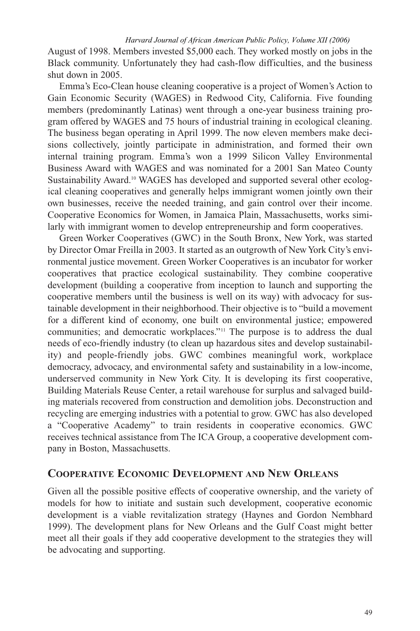August of 1998. Members invested \$5,000 each. They worked mostly on jobs in the Black community. Unfortunately they had cash-flow difficulties, and the business shut down in 2005.

Emma's Eco-Clean house cleaning cooperative is a project of Women's Action to Gain Economic Security (WAGES) in Redwood City, California. Five founding members (predominantly Latinas) went through a one-year business training program offered by WAGES and 75 hours of industrial training in ecological cleaning. The business began operating in April 1999. The now eleven members make decisions collectively, jointly participate in administration, and formed their own internal training program. Emma's won a 1999 Silicon Valley Environmental Business Award with WAGES and was nominated for a 2001 San Mateo County Sustainability Award.10 WAGES has developed and supported several other ecological cleaning cooperatives and generally helps immigrant women jointly own their own businesses, receive the needed training, and gain control over their income. Cooperative Economics for Women, in Jamaica Plain, Massachusetts, works similarly with immigrant women to develop entrepreneurship and form cooperatives.

Green Worker Cooperatives (GWC) in the South Bronx, New York, was started by Director Omar Freilla in 2003. It started as an outgrowth of New York City's environmental justice movement. Green Worker Cooperatives is an incubator for worker cooperatives that practice ecological sustainability. They combine cooperative development (building a cooperative from inception to launch and supporting the cooperative members until the business is well on its way) with advocacy for sustainable development in their neighborhood. Their objective is to "build a movement for a different kind of economy, one built on environmental justice; empowered communities; and democratic workplaces."<sup>11</sup> The purpose is to address the dual needs of eco-friendly industry (to clean up hazardous sites and develop sustainability) and people-friendly jobs. GWC combines meaningful work, workplace democracy, advocacy, and environmental safety and sustainability in a low-income, underserved community in New York City. It is developing its first cooperative, Building Materials Reuse Center, a retail warehouse for surplus and salvaged building materials recovered from construction and demolition jobs. Deconstruction and recycling are emerging industries with a potential to grow. GWC has also developed a "Cooperative Academy" to train residents in cooperative economics. GWC receives technical assistance from The ICA Group, a cooperative development company in Boston, Massachusetts.

# **COOPERATIVE ECONOMIC DEVELOPMENT AND NEW ORLEANS**

Given all the possible positive effects of cooperative ownership, and the variety of models for how to initiate and sustain such development, cooperative economic development is a viable revitalization strategy (Haynes and Gordon Nembhard 1999). The development plans for New Orleans and the Gulf Coast might better meet all their goals if they add cooperative development to the strategies they will be advocating and supporting.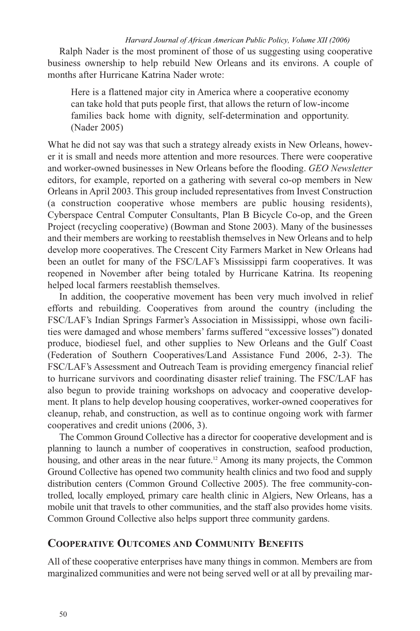Ralph Nader is the most prominent of those of us suggesting using cooperative business ownership to help rebuild New Orleans and its environs. A couple of months after Hurricane Katrina Nader wrote:

Here is a flattened major city in America where a cooperative economy can take hold that puts people first, that allows the return of low-income families back home with dignity, self-determination and opportunity. (Nader 2005)

What he did not say was that such a strategy already exists in New Orleans, however it is small and needs more attention and more resources. There were cooperative and worker-owned businesses in New Orleans before the flooding. *GEO Newsletter* editors, for example, reported on a gathering with several co-op members in New Orleans in April 2003. This group included representatives from Invest Construction (a construction cooperative whose members are public housing residents), Cyberspace Central Computer Consultants, Plan B Bicycle Co-op, and the Green Project (recycling cooperative) (Bowman and Stone 2003). Many of the businesses and their members are working to reestablish themselves in New Orleans and to help develop more cooperatives. The Crescent City Farmers Market in New Orleans had been an outlet for many of the FSC/LAF's Mississippi farm cooperatives. It was reopened in November after being totaled by Hurricane Katrina. Its reopening helped local farmers reestablish themselves.

In addition, the cooperative movement has been very much involved in relief efforts and rebuilding. Cooperatives from around the country (including the FSC/LAF's Indian Springs Farmer's Association in Mississippi, whose own facilities were damaged and whose members' farms suffered "excessive losses") donated produce, biodiesel fuel, and other supplies to New Orleans and the Gulf Coast (Federation of Southern Cooperatives/Land Assistance Fund 2006, 2-3). The FSC/LAF's Assessment and Outreach Team is providing emergency financial relief to hurricane survivors and coordinating disaster relief training. The FSC/LAF has also begun to provide training workshops on advocacy and cooperative development. It plans to help develop housing cooperatives, worker-owned cooperatives for cleanup, rehab, and construction, as well as to continue ongoing work with farmer cooperatives and credit unions (2006, 3).

The Common Ground Collective has a director for cooperative development and is planning to launch a number of cooperatives in construction, seafood production, housing, and other areas in the near future.<sup>12</sup> Among its many projects, the Common Ground Collective has opened two community health clinics and two food and supply distribution centers (Common Ground Collective 2005). The free community-controlled, locally employed, primary care health clinic in Algiers, New Orleans, has a mobile unit that travels to other communities, and the staff also provides home visits. Common Ground Collective also helps support three community gardens.

# **COOPERATIVE OUTCOMES AND COMMUNITY BENEFITS**

All of these cooperative enterprises have many things in common. Members are from marginalized communities and were not being served well or at all by prevailing mar-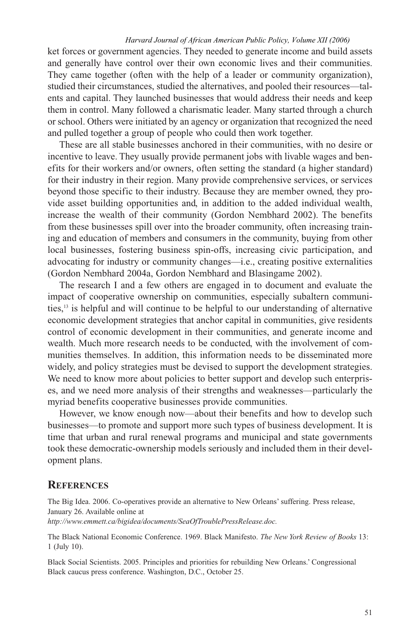ket forces or government agencies. They needed to generate income and build assets and generally have control over their own economic lives and their communities. They came together (often with the help of a leader or community organization), studied their circumstances, studied the alternatives, and pooled their resources—talents and capital. They launched businesses that would address their needs and keep them in control. Many followed a charismatic leader. Many started through a church or school. Others were initiated by an agency or organization that recognized the need and pulled together a group of people who could then work together.

These are all stable businesses anchored in their communities, with no desire or incentive to leave. They usually provide permanent jobs with livable wages and benefits for their workers and/or owners, often setting the standard (a higher standard) for their industry in their region. Many provide comprehensive services, or services beyond those specific to their industry. Because they are member owned, they provide asset building opportunities and, in addition to the added individual wealth, increase the wealth of their community (Gordon Nembhard 2002). The benefits from these businesses spill over into the broader community, often increasing training and education of members and consumers in the community, buying from other local businesses, fostering business spin-offs, increasing civic participation, and advocating for industry or community changes—i.e., creating positive externalities (Gordon Nembhard 2004a, Gordon Nembhard and Blasingame 2002).

The research I and a few others are engaged in to document and evaluate the impact of cooperative ownership on communities, especially subaltern communities,<sup>13</sup> is helpful and will continue to be helpful to our understanding of alternative economic development strategies that anchor capital in communities, give residents control of economic development in their communities, and generate income and wealth. Much more research needs to be conducted, with the involvement of communities themselves. In addition, this information needs to be disseminated more widely, and policy strategies must be devised to support the development strategies. We need to know more about policies to better support and develop such enterprises, and we need more analysis of their strengths and weaknesses—particularly the myriad benefits cooperative businesses provide communities.

However, we know enough now—about their benefits and how to develop such businesses—to promote and support more such types of business development. It is time that urban and rural renewal programs and municipal and state governments took these democratic-ownership models seriously and included them in their development plans.

# **REFERENCES**

The Big Idea. 2006. Co-operatives provide an alternative to New Orleans' suffering. Press release, January 26. Available online at *http://www.emmett.ca/bigidea/documents/SeaOfTroublePressRelease.doc.*

The Black National Economic Conference. 1969. Black Manifesto. *The New York Review of Books* 13: 1 (July 10).

Black Social Scientists. 2005. Principles and priorities for rebuilding New Orleans.' Congressional Black caucus press conference. Washington, D.C., October 25.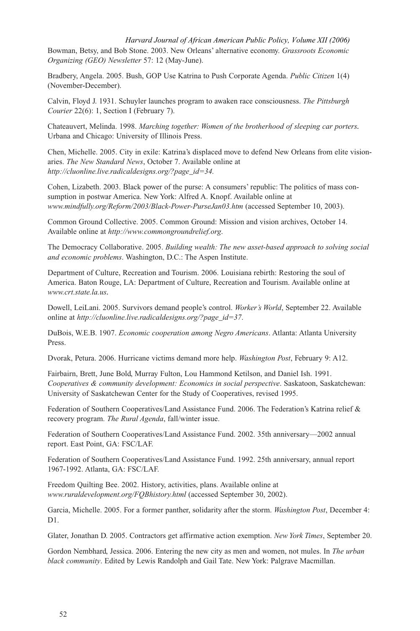Bowman, Betsy, and Bob Stone. 2003. New Orleans' alternative economy. *Grassroots Economic Organizing (GEO) Newsletter* 57: 12 (May-June). *Harvard Journal of African American Public Policy, Volume XII (2006)*

Bradbery, Angela. 2005. Bush, GOP Use Katrina to Push Corporate Agenda. *Public Citizen* 1(4) (November-December).

Calvin, Floyd J. 1931. Schuyler launches program to awaken race consciousness. *The Pittsburgh Courier* 22(6): 1, Section I (February 7).

Chateauvert, Melinda. 1998. *Marching together: Women of the brotherhood of sleeping car porters.* Urbana and Chicago: University of Illinois Press.

Chen, Michelle. 2005. City in exile: Katrina's displaced move to defend New Orleans from elite visionaries. *The New Standard News*, October 7. Available online at *http://cluonline.live.radicaldesigns.org/?page\_id=34.*

Cohen, Lizabeth. 2003. Black power of the purse: A consumers' republic: The politics of mass consumption in postwar America. New York: Alfred A. Knopf. Available online at *www.mindfully.org/Reform/2003/Black-Power-PurseJan03.htm* (accessed September 10, 2003).

Common Ground Collective. 2005. Common Ground: Mission and vision archives, October 14. Available online at *http://www.commongroundrelief.org*.

The Democracy Collaborative. 2005. *Building wealth: The new asset-based approach to solving social and economic problems*. Washington, D.C.: The Aspen Institute.

Department of Culture, Recreation and Tourism. 2006. Louisiana rebirth: Restoring the soul of America. Baton Rouge, LA: Department of Culture, Recreation and Tourism. Available online at *www.crt.state.la.us.*

Dowell, LeiLani. 2005. Survivors demand people's control. *Worker's World*, September 22. Available online at *http://cluonline.live.radicaldesigns.org/?page\_id=37*.

DuBois, W.E.B. 1907. *Economic cooperation among Negro Americans*. Atlanta: Atlanta University Press.

Dvorak, Petura. 2006. Hurricane victims demand more help. *Washington Post*, February 9: A12.

Fairbairn, Brett, June Bold, Murray Fulton, Lou Hammond Ketilson, and Daniel Ish. 1991. *Cooperatives & community development: Economics in social perspective*. Saskatoon, Saskatchewan: University of Saskatchewan Center for the Study of Cooperatives, revised 1995.

Federation of Southern Cooperatives/Land Assistance Fund. 2006. The Federation's Katrina relief & recovery program. *The Rural Agenda*, fall/winter issue.

Federation of Southern Cooperatives/Land Assistance Fund. 2002. 35th anniversary—2002 annual report. East Point, GA: FSC/LAF.

Federation of Southern Cooperatives/Land Assistance Fund. 1992. 25th anniversary, annual report 1967-1992. Atlanta, GA: FSC/LAF.

Freedom Quilting Bee. 2002. History, activities, plans. Available online at *www.ruraldevelopment.org/FQBhistory.html* (accessed September 30, 2002).

Garcia, Michelle. 2005. For a former panther, solidarity after the storm. *Washington Post*, December 4:  $D1$ .

Glater, Jonathan D. 2005. Contractors get affirmative action exemption. *New York Times*, September 20.

Gordon Nembhard, Jessica. 2006. Entering the new city as men and women, not mules. In *The urban black community*. Edited by Lewis Randolph and Gail Tate. New York: Palgrave Macmillan.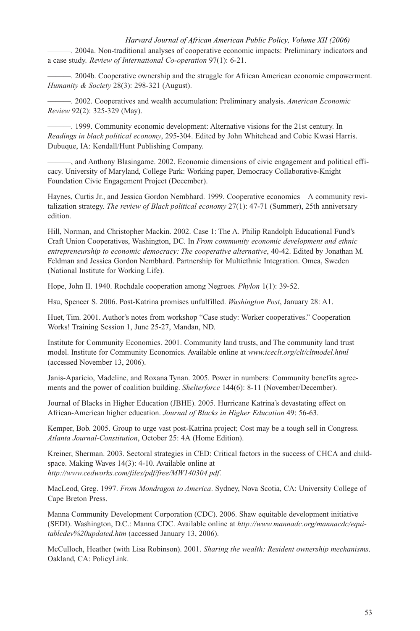———. 2004a. Non-traditional analyses of cooperative economic impacts: Preliminary indicators and a case study. *Review of International Co-operation* 97(1): 6-21.

———. 2004b. Cooperative ownership and the struggle for African American economic empowerment. *Humanity & Society* 28(3): 298-321 (August).

———. 2002. Cooperatives and wealth accumulation: Preliminary analysis. *American Economic Review* 92(2): 325-329 (May).

———. 1999. Community economic development: Alternative visions for the 21st century. In *Readings in black political economy*, 295-304. Edited by John Whitehead and Cobie Kwasi Harris. Dubuque, IA: Kendall/Hunt Publishing Company.

———, and Anthony Blasingame. 2002. Economic dimensions of civic engagement and political efficacy. University of Maryland, College Park: Working paper, Democracy Collaborative-Knight Foundation Civic Engagement Project (December).

Haynes, Curtis Jr., and Jessica Gordon Nembhard. 1999. Cooperative economics—A community revitalization strategy. *The review of Black political economy* 27(1): 47-71 (Summer), 25th anniversary edition.

Hill, Norman, and Christopher Mackin. 2002. Case 1: The A. Philip Randolph Educational Fund's Craft Union Cooperatives, Washington, DC. In *From community economic development and ethnic entrepreneurship to economic democracy: The cooperative alternative*, 40-42. Edited by Jonathan M. Feldman and Jessica Gordon Nembhard. Partnership for Multiethnic Integration. Omea, Sweden (National Institute for Working Life).

Hope, John II. 1940. Rochdale cooperation among Negroes. *Phylon* 1(1): 39-52.

Hsu, Spencer S. 2006. Post-Katrina promises unfulfilled. *Washington Post*, January 28: A1.

Huet, Tim. 2001. Author's notes from workshop "Case study: Worker cooperatives." Cooperation Works! Training Session 1, June 25-27, Mandan, ND.

Institute for Community Economics. 2001. Community land trusts, and The community land trust model. Institute for Community Economics. Available online at *www.iceclt.org/clt/cltmodel.html* (accessed November 13, 2006).

Janis-Aparicio, Madeline, and Roxana Tynan. 2005. Power in numbers: Community benefits agreements and the power of coalition building. *Shelterforce* 144(6): 8-11 (November/December).

Journal of Blacks in Higher Education (JBHE). 2005. Hurricane Katrina's devastating effect on African-American higher education. *Journal of Blacks in Higher Education* 49: 56-63.

Kemper, Bob. 2005. Group to urge vast post-Katrina project; Cost may be a tough sell in Congress. *Atlanta Journal-Constitution*, October 25: 4A (Home Edition).

Kreiner, Sherman. 2003. Sectoral strategies in CED: Critical factors in the success of CHCA and childspace. Making Waves 14(3): 4-10. Available online at *http://www.cedworks.com/files/pdf/free/MW140304.pdf*.

MacLeod, Greg. 1997. *From Mondragon to America*. Sydney, Nova Scotia, CA: University College of Cape Breton Press.

Manna Community Development Corporation (CDC). 2006. Shaw equitable development initiative (SEDI). Washington, D.C.: Manna CDC. Available online at *http://www.mannadc.org/mannacdc/equitabledev%20updated.htm* (accessed January 13, 2006).

McCulloch, Heather (with Lisa Robinson). 2001. *Sharing the wealth: Resident ownership mechanisms*. Oakland, CA: PolicyLink.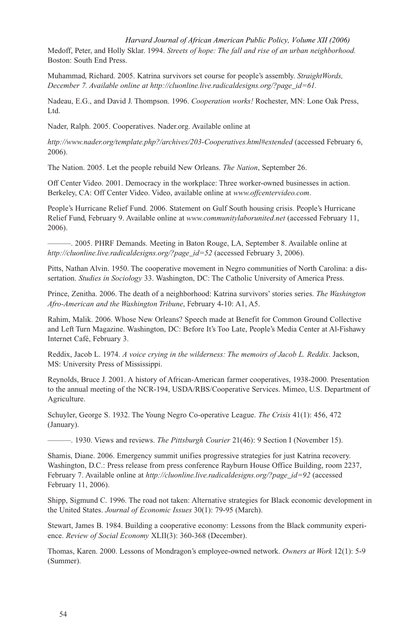Medoff, Peter, and Holly Sklar. 1994. *Streets of hope: The fall and rise of an urban neighborhood.* Boston: South End Press.

Muhammad, Richard. 2005. Katrina survivors set course for people's assembly. *StraightWords, December 7. Available online at http://cluonline.live.radicaldesigns.org/?page\_id=61.*

Nadeau, E.G., and David J. Thompson. 1996. *Cooperation works!* Rochester, MN: Lone Oak Press, Ltd.

Nader, Ralph. 2005. Cooperatives. Nader.org. Available online at

*http://www.nader.org/template.php?/archives/203-Cooperatives.html#extended* (accessed February 6, 2006).

The Nation. 2005. Let the people rebuild New Orleans. *The Nation*, September 26.

Off Center Video. 2001. Democracy in the workplace: Three worker-owned businesses in action. Berkeley, CA: Off Center Video. Video, available online at *www.offcentervideo.com*.

People's Hurricane Relief Fund. 2006. Statement on Gulf South housing crisis. People's Hurricane Relief Fund, February 9. Available online at *www.communitylaborunited.net* (accessed February 11, 2006).

———. 2005. PHRF Demands. Meeting in Baton Rouge, LA, September 8. Available online at *http://cluonline.live.radicaldesigns.org/?page\_id=52* (accessed February 3, 2006).

Pitts, Nathan Alvin. 1950. The cooperative movement in Negro communities of North Carolina: a dissertation. *Studies in Sociology* 33. Washington, DC: The Catholic University of America Press.

Prince, Zenitha. 2006. The death of a neighborhood: Katrina survivors' stories series. *The Washington Afro-American and the Washington Tribune*, February 4-10: A1, A5.

Rahim, Malik. 2006. Whose New Orleans? Speech made at Benefit for Common Ground Collective and Left Turn Magazine. Washington, DC: Before It's Too Late, People's Media Center at Al-Fishawy Internet Café, February 3.

Reddix, Jacob L. 1974. *A voice crying in the wilderness: The memoirs of Jacob L. Reddix*. Jackson, MS: University Press of Mississippi.

Reynolds, Bruce J. 2001. A history of African-American farmer cooperatives, 1938-2000. Presentation to the annual meeting of the NCR-194, USDA/RBS/Cooperative Services. Mimeo, U.S. Department of Agriculture.

Schuyler, George S. 1932. The Young Negro Co-operative League. *The Crisis* 41(1): 456, 472 (January).

———. 1930. Views and reviews. *The Pittsburgh Courier* 21(46): 9 Section I (November 15).

Shamis, Diane. 2006. Emergency summit unifies progressive strategies for just Katrina recovery. Washington, D.C.: Press release from press conference Rayburn House Office Building, room 2237, February 7. Available online at *http://cluonline.live.radicaldesigns.org/?page\_id=92* (accessed February 11, 2006).

Shipp, Sigmund C. 1996. The road not taken: Alternative strategies for Black economic development in the United States. *Journal of Economic Issues* 30(1): 79-95 (March).

Stewart, James B. 1984. Building a cooperative economy: Lessons from the Black community experience. *Review of Social Economy* XLII(3): 360-368 (December).

Thomas, Karen. 2000. Lessons of Mondragon's employee-owned network. *Owners at Work* 12(1): 5-9 (Summer).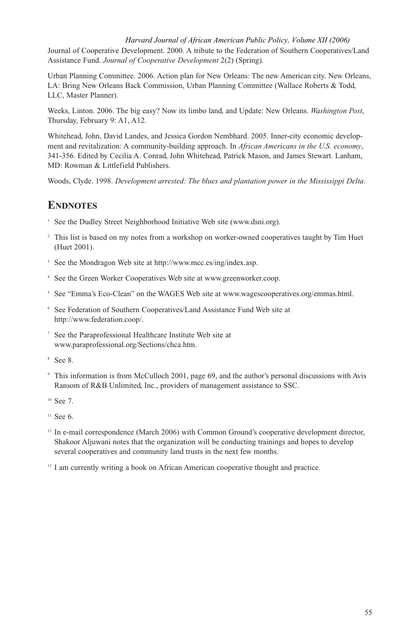Journal of Cooperative Development. 2000. A tribute to the Federation of Southern Cooperatives/Land Assistance Fund. *Journal of Cooperative Development* 2(2) (Spring). *Harvard Journal of African American Public Policy, Volume XII (2006)*

Urban Planning Committee. 2006. Action plan for New Orleans: The new American city. New Orleans, LA: Bring New Orleans Back Commission, Urban Planning Committee (Wallace Roberts & Todd, LLC, Master Planner).

Weeks, Linton. 2006. The big easy? Now its limbo land, and Update: New Orleans. *Washington Post*, Thursday, February 9: A1, A12.

Whitehead, John, David Landes, and Jessica Gordon Nembhard. 2005. Inner-city economic development and revitalization: A community-building approach. In *African Americans in the U.S. economy*, 341-356. Edited by Cecilia A. Conrad, John Whitehead, Patrick Mason, and James Stewart. Lanham, MD: Rowman & Littlefield Publishers.

Woods, Clyde. 1998. *Development arrested: The blues and plantation power in the Mississippi Delta*.

# **ENDNOTES**

- <sup>1</sup> See the Dudley Street Neighborhood Initiative Web site (www.dsni.org).
- <sup>2</sup> This list is based on my notes from a workshop on worker-owned cooperatives taught by Tim Huet (Huet 2001).
- 3 See the Mondragon Web site at http://www.mcc.es/ing/index.asp.
- 4 See the Green Worker Cooperatives Web site at www.greenworker.coop.
- <sup>5</sup> See "Emma's Eco-Clean" on the WAGES Web site at www.wagescooperatives.org/emmas.html.
- 6 See Federation of Southern Cooperatives/Land Assistance Fund Web site at http://www.federation.coop/.
- 7 See the Paraprofessional Healthcare Institute Web site at www.paraprofessional.org/Sections/chca.htm.
- 8 See 8.
- 9 This information is from McCulloch 2001, page 69, and the author's personal discussions with Avis Ransom of R&B Unlimited, Inc., providers of management assistance to SSC.
- <sup>10</sup> See 7.
- $11$  See 6.
- $12$  In e-mail correspondence (March 2006) with Common Ground's cooperative development director, Shakoor Aljuwani notes that the organization will be conducting trainings and hopes to develop several cooperatives and community land trusts in the next few months.
- <sup>13</sup> I am currently writing a book on African American cooperative thought and practice.